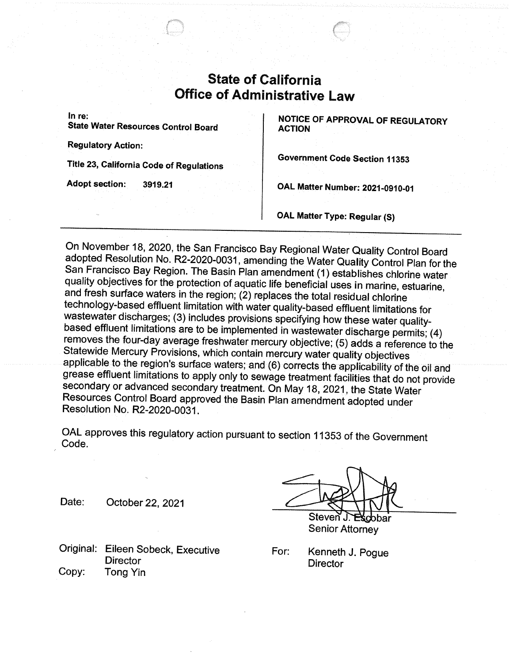## **State of California Office of Administrative Law**

In re:

State Water Resources Control Board

Regulatory Action:

Title 23, California Code of Regulations

Adopt section: 3919.21

NOTICE OF APPROVAL OF REGULATORY ACTION

Government Code Section 11353

OAL Matter Number:2021-0910-01

OAL Matter Type: Regular (S)

On November 18, 2020, the San Francisco Bay Regional Water Quality Control Board adopted Resolution No. R2-2020-0031, amending the Water Quality Control Plan for the San Francisco Bay Region. The Basin Plan amendment (1) establishes chlorine water quality objectives for the protection of aquatic life beneficial uses in marine, estuarine, and fresh surface waters in the region; (2) replaces the total residual chlorine technology-based effluent limitation with water quality-based effluent limitations for wastewater discharges; (3) includes provisions specifying how these water qualitybased effluent limitations are to be implemented in wastewater discharge permits; (4) removes the four-day average freshwater mercury objective; (5) adds a reference to the Statewide Mercury Provisions, which contain mercury water quality objectives applicable to the region's surface waters; and (6) corrects the applicability of the oil and grease effluent limitations to apply only to sewage treatment facilities that do not provide secondary or advanced secondary treatment. On May 18, 2021, the State Water Resources Control Board approved the Basin Plan amendment adopted under Resolution No. R2-2020-0031.

OAL approves this regulatory action pursuant to section 11353 of the Government Code.

Original: Eileen Sobeck, Executive **Director** Copy: Tong Yin

 $\bigvee \bigvee$ Date: October 22, 2021  $\bigcup_{\mathcal{A}}$ ~.►.~r1Steven. วbar

Senior Attorney

For: Kenneth J. Pogue **Director**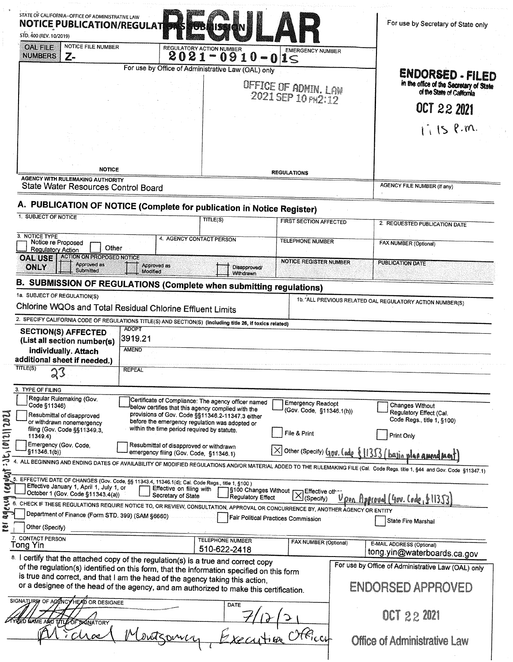| STATE OF CALIFORNIA--OFFICE OF ADMINISTRATIVE LAW<br><b>NOTICE PUBLICATION/REGULAT</b><br>STD. 400 (REV. 10/2019)                                                                                                                                                    |                                                                                                                                                                                                                 |                                                                   | For use by Secretary of State only                                                                                                                                           |
|----------------------------------------------------------------------------------------------------------------------------------------------------------------------------------------------------------------------------------------------------------------------|-----------------------------------------------------------------------------------------------------------------------------------------------------------------------------------------------------------------|-------------------------------------------------------------------|------------------------------------------------------------------------------------------------------------------------------------------------------------------------------|
| <b>NOTICE FILE NUMBER</b><br><b>OAL FILE</b><br><b>NUMBERS</b><br>Z-                                                                                                                                                                                                 | <b>REGULATORY ACTION NUMBER</b><br>$2021 - 0910 - 015$                                                                                                                                                          | <b>EMERGENCY NUMBER</b>                                           |                                                                                                                                                                              |
|                                                                                                                                                                                                                                                                      | For use by Office of Administrative Law (OAL) only                                                                                                                                                              |                                                                   | ENDORSED - FILED                                                                                                                                                             |
|                                                                                                                                                                                                                                                                      |                                                                                                                                                                                                                 | OFFICE OF ADMIN. LAW                                              | in the office of the Secretary of State<br>of the State of California                                                                                                        |
|                                                                                                                                                                                                                                                                      |                                                                                                                                                                                                                 | 2021 SEP 10 PH2:12                                                |                                                                                                                                                                              |
|                                                                                                                                                                                                                                                                      |                                                                                                                                                                                                                 |                                                                   | OCT 22 2021                                                                                                                                                                  |
|                                                                                                                                                                                                                                                                      |                                                                                                                                                                                                                 |                                                                   | $1.15$ P.m.                                                                                                                                                                  |
|                                                                                                                                                                                                                                                                      |                                                                                                                                                                                                                 |                                                                   |                                                                                                                                                                              |
|                                                                                                                                                                                                                                                                      |                                                                                                                                                                                                                 |                                                                   |                                                                                                                                                                              |
| <b>NOTICE</b>                                                                                                                                                                                                                                                        |                                                                                                                                                                                                                 | <b>REGULATIONS</b>                                                |                                                                                                                                                                              |
| <b>AGENCY WITH RULEMAKING AUTHORITY</b><br>State Water Resources Control Board                                                                                                                                                                                       |                                                                                                                                                                                                                 |                                                                   | <b>AGENCY FILE NUMBER (If any)</b>                                                                                                                                           |
|                                                                                                                                                                                                                                                                      |                                                                                                                                                                                                                 |                                                                   |                                                                                                                                                                              |
| A. PUBLICATION OF NOTICE (Complete for publication in Notice Register)<br>1. SUBJECT OF NOTICE                                                                                                                                                                       | TITLE(S)                                                                                                                                                                                                        |                                                                   |                                                                                                                                                                              |
|                                                                                                                                                                                                                                                                      |                                                                                                                                                                                                                 | <b>FIRST SECTION AFFECTED</b>                                     | 2. REQUESTED PUBLICATION DATE                                                                                                                                                |
| 3. NOTICE TYPE<br>Notice re Proposed<br>Other<br><b>Regulatory Action</b>                                                                                                                                                                                            | 4. AGENCY CONTACT PERSON                                                                                                                                                                                        | <b>TELEPHONE NUMBER</b>                                           | FAX NUMBER (Optional)                                                                                                                                                        |
| <b>ACTION ON PROPOSED NOTICE</b><br><b>OAL USE</b><br><b>Approved as</b><br><b>ONLY</b><br><b>Submitted</b>                                                                                                                                                          | Approved as<br>Modified                                                                                                                                                                                         | <b>NOTICE REGISTER NUMBER</b><br>Disapproved/<br><b>Withdrawn</b> | <b>PUBLICATION DATE</b>                                                                                                                                                      |
| <b>B. SUBMISSION OF REGULATIONS (Complete when submitting regulations)</b>                                                                                                                                                                                           |                                                                                                                                                                                                                 |                                                                   |                                                                                                                                                                              |
| 1a. SUBJECT OF REGULATION(S)                                                                                                                                                                                                                                         |                                                                                                                                                                                                                 |                                                                   |                                                                                                                                                                              |
|                                                                                                                                                                                                                                                                      |                                                                                                                                                                                                                 |                                                                   |                                                                                                                                                                              |
| Chlorine WQOs and Total Residual Chlorine Effluent Limits                                                                                                                                                                                                            |                                                                                                                                                                                                                 |                                                                   | 1b. ALL PREVIOUS RELATED OAL REGULATORY ACTION NUMBER(S)                                                                                                                     |
| 2. SPECIFY CALIFORNIA CODE OF REGULATIONS TITLE(S) AND SECTION(S) (Including title 26, if toxics related)                                                                                                                                                            | <b>ADOPT</b>                                                                                                                                                                                                    |                                                                   |                                                                                                                                                                              |
| <b>SECTION(S) AFFECTED</b><br>(List all section number(s)<br>individually. Attach                                                                                                                                                                                    | 3919.21<br><b>AMEND</b>                                                                                                                                                                                         |                                                                   |                                                                                                                                                                              |
| additional sheet if needed.)<br>TITLE(S)<br>23                                                                                                                                                                                                                       | <b>REPEAL</b>                                                                                                                                                                                                   |                                                                   |                                                                                                                                                                              |
| 3. TYPE OF FILING                                                                                                                                                                                                                                                    |                                                                                                                                                                                                                 |                                                                   |                                                                                                                                                                              |
| Regular Rulemaking (Gov.<br>Code §11346)<br>Resubmittal of disapproved<br>or withdrawn nonemergency                                                                                                                                                                  | Certificate of Compliance: The agency officer named<br>below certifies that this agency complied with the<br>provisions of Gov. Code §§11346.2-11347.3 either<br>before the emergency regulation was adopted or | <b>Emergency Readopt</b><br>(Gov. Code, §11346.1(h))              | Changes Without<br>Regulatory Effect (Cal.<br>Code Regs., title 1, §100)                                                                                                     |
| filing (Gov. Code §§11349.3.<br>11349.4)                                                                                                                                                                                                                             | within the time period required by statute.                                                                                                                                                                     | File & Print                                                      | Print Only                                                                                                                                                                   |
| Emergency (Gov. Code.<br>§11346.1(b))                                                                                                                                                                                                                                | Resubmittal of disapproved or withdrawn<br>emergency filing (Gov. Code, §11346.1)                                                                                                                               |                                                                   |                                                                                                                                                                              |
|                                                                                                                                                                                                                                                                      |                                                                                                                                                                                                                 |                                                                   | $\overline{\times}$ Other (Specify) Gov. Code {11353 (basin plan amend mont)                                                                                                 |
| 5. EFFECTIVE DATE OF CHANGES (Gov. Code, §§ 11343.4, 11346.1(d); Cal. Code Regs., title 1, §100)<br>Effective January 1, April 1, July 1, or                                                                                                                         | Effective on filing with                                                                                                                                                                                        | S100 Changes Without [ J Effective other                          | 4. ALL BEGINNING AND ENDING DATES OF AVAILABILITY OF MODIFIED REGULATIONS AND/OR MATERIAL ADDED TO THE RULEMAKING FILE (Cal. Code Regs. title 1, §44 and Gov. Code §11347.1) |
| October 1 (Gov. Code §11343.4(a))                                                                                                                                                                                                                                    | Secretary of State                                                                                                                                                                                              | Regulatory Effect<br>(Specify)                                    | <u> Upon Approval (4ov. Code, 611353)</u>                                                                                                                                    |
| 6. CHECK IF THESE REGULATIONS REQUIRE NOTICE TO, OR REVIEW, CONSULTATION, APPROVAL OR CONCURRENCE BY, ANOTHER AGENCY OR ENTITY<br>Department of Finance (Form STD. 399) (SAM §6660)                                                                                  |                                                                                                                                                                                                                 | Fair Political Practices Commission                               | State Fire Marshal                                                                                                                                                           |
| Other (Specify)                                                                                                                                                                                                                                                      |                                                                                                                                                                                                                 |                                                                   |                                                                                                                                                                              |
| 7. CONTACT PERSON<br>Tong Yin                                                                                                                                                                                                                                        | <b>TELEPHONE NUMBER</b>                                                                                                                                                                                         | FAX NUMBER (Optional)                                             | E-MAIL ADDRESS (Optional)                                                                                                                                                    |
| 8. I certify that the attached copy of the regulation(s) is a true and correct copy                                                                                                                                                                                  | 510-622-2418                                                                                                                                                                                                    |                                                                   | tong.yin@waterboards.ca.gov<br>For use by Office of Administrative Law (OAL) only                                                                                            |
| of the regulation(s) identified on this form, that the information specified on this form<br>is true and correct, and that I am the head of the agency taking this action,<br>or a designee of the head of the agency, and am authorized to make this certification. |                                                                                                                                                                                                                 |                                                                   | ENDORSED APPROVED                                                                                                                                                            |
| SIGNATURE OF AGENCY HEAD OR DESIGNEE<br>ED NAME AND TITLE OF SIGNATORY                                                                                                                                                                                               | DATE                                                                                                                                                                                                            |                                                                   | OCT 22 2021                                                                                                                                                                  |

 $\frac{1}{\sqrt{2}}$